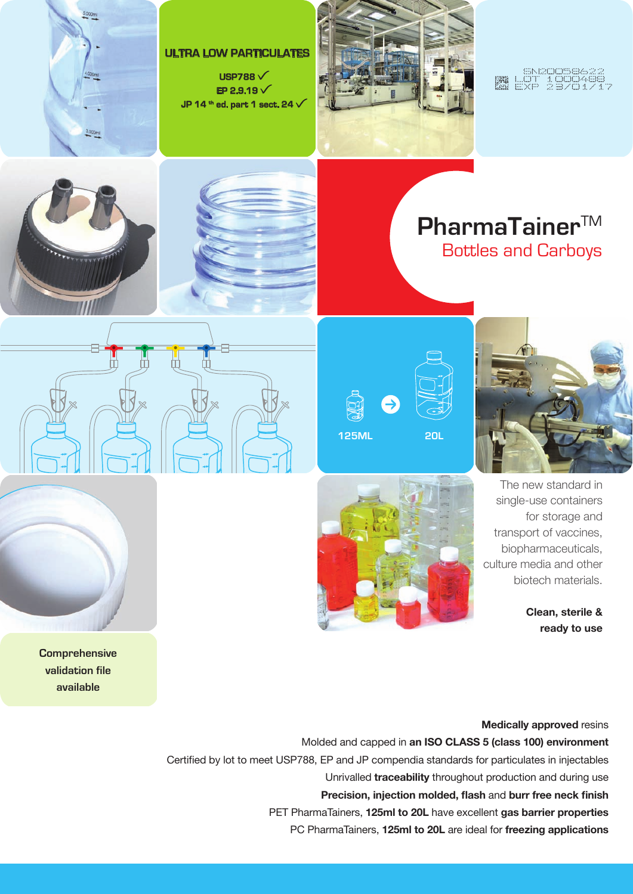











**Clean, sterile & ready to use**

**Medically approved** resins



**Comprehensive validation file available**

> Molded and capped in **an ISO CLA SS 5 (class 100) environment** Certified by lot to meet USP788, EP and JP compendia standards for particulates in injectables Unrivalled **traceability** throughout production and during use **Precision, injection molded, flash** and **burr free neck finish** PET PharmaTainers, **125ml to 20L** have excellent **gas barrier properties** PC PharmaTainers, **125ml to 20L** are ideal for **freezing applications**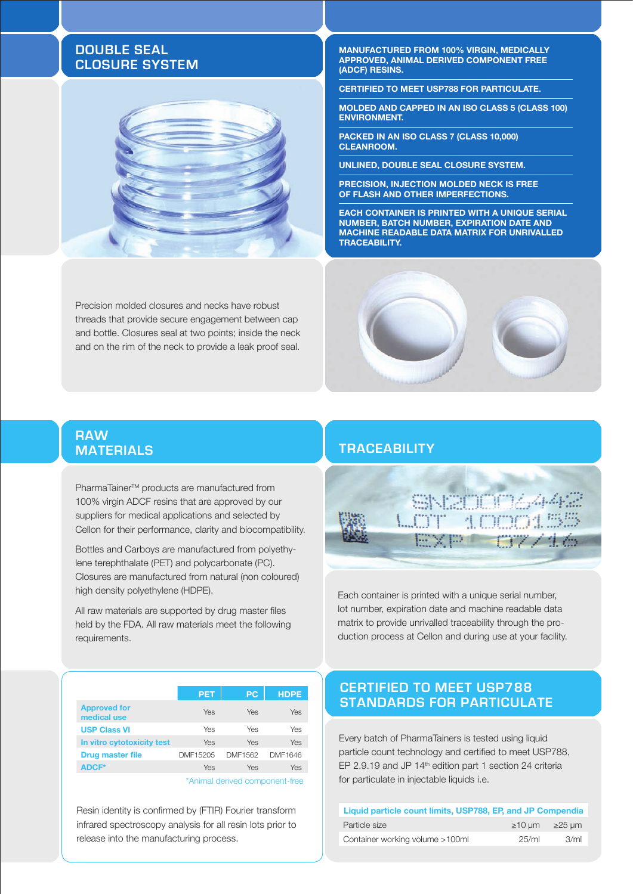# **Double seal closure system**



Precision molded closures and necks have robust threads that provide secure engagement between cap and bottle. Closures seal at two points; inside the neck and on the rim of the neck to provide a leak proof seal.

 **Manufactured from 100% virgin, medically approved, animal derived component free (ADCF) resins.**

**certified to meet USP788 for particulate.**

**Molded and capped in aN ISO class 5 (class 100) environment.**

**Packed in an ISO class 7 (Class 10,000) cleanroom.** 

**Unlined, double seal closure system.**

**Precision, injection molded neck is free of flash and other imperfections.**

**Each container is printed with a unique serial number, batch number, expiration date and machine readable data matrix for unrivalled traceability.**

# **Materials Trace ability**

**Raw** 

PharmaTainer<sup>™</sup> products are manufactured from 100% virgin ADCF resins that are approved by our suppliers for medical applications and selected by Cellon for their performance, clarity and biocompatibility.

Bottles and Carboys are manufactured from polyethylene terephthalate (PET) and polycarbonate (PC). Closures are manufactured from natural (non coloured) high density polyethylene (HDPE).

All raw materials are supported by drug master files held by the FDA. All raw materials meet the following requirements.



Each container is printed with a unique serial number, lot number, expiration date and machine readable data matrix to provide unrivalled traceability through the production process at Cellon and during use at your facility.

|                                    | <b>PET</b> | PC      | <b>HDPE</b> |  |
|------------------------------------|------------|---------|-------------|--|
| <b>Approved for</b><br>medical use | Yes        | Yes     | Yes         |  |
| <b>USP Class VI</b>                | Yes        | Yes     | Yes         |  |
| In vitro cytotoxicity test         | Yes        | Yes     | Yes         |  |
| <b>Drug master file</b>            | DMF15205   | DMF1562 | DMF1646     |  |
| <b>ADCF*</b>                       | Yes        | Yes     | Yes         |  |
|                                    |            |         |             |  |

\*Animal derived component-free

Resin identity is confirmed by (FTIR) Fourier transform infrared spectroscopy analysis for all resin lots prior to release into the manufacturing process.

# **CERTIFIED TO MEET USP788 standards for Particulate**

Every batch of PharmaTainers is tested using liquid particle count technology and certified to meet USP788, EP 2.9.19 and JP 14<sup>th</sup> edition part 1 section 24 criteria for particulate in injectable liquids i.e.

| Liquid particle count limits, USP788, EP, and JP Compendia |                           |      |
|------------------------------------------------------------|---------------------------|------|
| Particle size                                              | $\geq$ 10 um $\geq$ 25 um |      |
| Container working volume >100ml                            | 25/ml                     | 3/ml |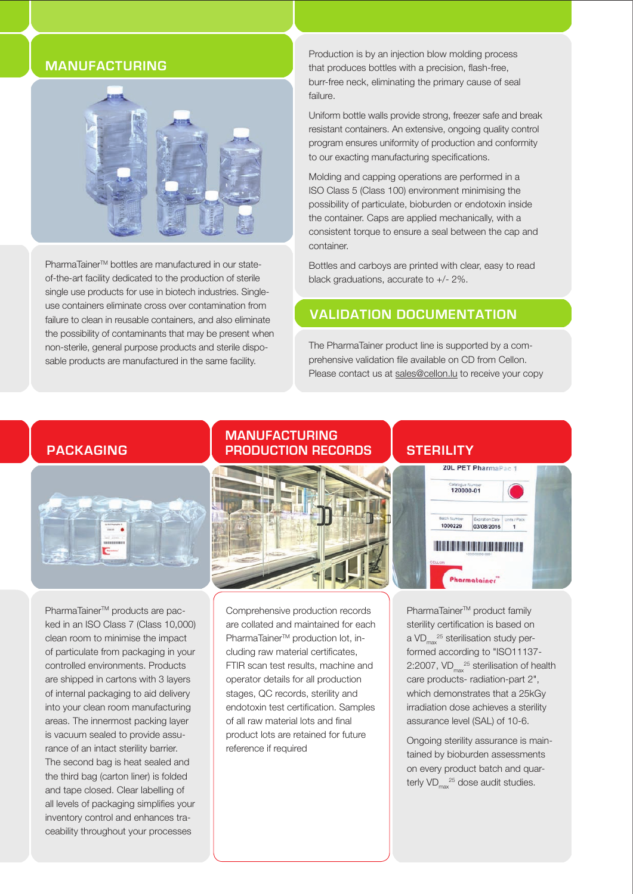# **Manufacturing**



PharmaTainer™ bottles are manufactured in our stateof-the-art facility dedicated to the production of sterile single use products for use in biotech industries. Singleuse containers eliminate cross over contamination from failure to clean in reusable containers, and also eliminate the possibility of contaminants that may be present when non-sterile, general purpose products and sterile disposable products are manufactured in the same facility.

Production is by an injection blow molding process that produces bottles with a precision, flash-free, burr-free neck, eliminating the primary cause of seal failure.

Uniform bottle walls provide strong, freezer safe and break resistant containers. An extensive, ongoing quality control program ensures uniformity of production and conformity to our exacting manufacturing specifications.

Molding and capping operations are performed in a ISO Class 5 (Class 100) environment minimising the possibility of particulate, bioburden or endotoxin inside the container. Caps are applied mechanically, with a consistent torque to ensure a seal between the cap and container.

Bottles and carboys are printed with clear, easy to read black graduations, accurate to +/- 2%.

# **Validation documentation**

The PharmaTainer product line is supported by a comprehensive validation file available on CD from Cellon. Please contact us at sales@cellon.lu to receive your copy

## **Packaging**



PharmaTainer<sup>™</sup> products are packed in an ISO Class 7 (Class 10,000) clean room to minimise the impact of particulate from packaging in your controlled environments. Products are shipped in cartons with 3 layers of internal packaging to aid delivery into your clean room manufacturing areas. The innermost packing layer is vacuum sealed to provide assurance of an intact sterility barrier. The second bag is heat sealed and the third bag (carton liner) is folded and tape closed. Clear labelling of all levels of packaging simplifies your inventory control and enhances traceability throughout your processes

### **ManufactuRing PRODUCTION RECORDS | STERILITY**



Comprehensive production records are collated and maintained for each PharmaTainer<sup>™</sup> production lot, including raw material certificates, FTIR scan test results, machine and operator details for all production stages, QC records, sterility and endotoxin test certification. Samples of all raw material lots and final product lots are retained for future reference if required



PharmaTainer<sup>™</sup> product family sterility certification is based on a VD $_{\text{max}}^{25}$  sterilisation study performed according to "ISO11137- 2:2007,  $VD_{max}^{25}$  sterilisation of health care products- radiation-part 2", which demonstrates that a 25kGy irradiation dose achieves a sterility assurance level (SAL) of 10-6.

Ongoing sterility assurance is maintained by bioburden assessments on every product batch and quarterly  $VD_{\text{max}}^{25}$  dose audit studies.